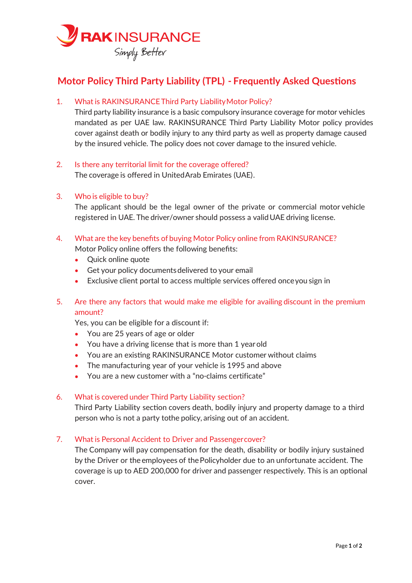

# **Motor Policy Third Party Liability (TPL) - Frequently Asked Questions**

# 1. What is RAKINSURANCE Third Party LiabilityMotor Policy?

Third party liability insurance is a basic compulsory insurance coverage for motor vehicles mandated as per UAE law. RAKINSURANCE Third Party Liability Motor policy provides cover against death or bodily injury to any third party as well as property damage caused by the insured vehicle. The policy does not cover damage to the insured vehicle.

## 2. Is there any territorial limit for the coverage offered? The coverage is offered in United Arab Emirates (UAE).

#### 3. Who is eligible to buy?

The applicant should be the legal owner of the private or commercial motor vehicle registered in UAE. The driver/owner should possess a valid UAE driving license.

## 4. What are the key benefits of buying Motor Policy online from RAKINSURANCE?

Motor Policy online offers the following benefits:

- Quick online quote
- Get your policy documents delivered to your email
- Exclusive client portal to access multiple services offered once you sign in  $\bullet$

# 5. Are there any factors that would make me eligible for availing discount in the premium amount?

Yes, you can be eligible for a discount if:

- You are 25 years of age or older
- You have a driving license that is more than 1 year old
- You are an existing RAKINSURANCE Motor customer without claims
- The manufacturing year of your vehicle is 1995 and above
- You are a new customer with a "no-claims certificate"  $\bullet$

## 6. What is covered under Third Party Liability section?

Third Party Liability section covers death, bodily injury and property damage to a third person who is not a party tothe policy, arising out of an accident.

## 7. What is Personal Accident to Driver and Passengercover?

The Company will pay compensation for the death, disability or bodily injury sustained by the Driver or the employees of the Policyholder due to an unfortunate accident. The coverage is up to AED 200,000 for driver and passenger respectively. This is an optional cover.